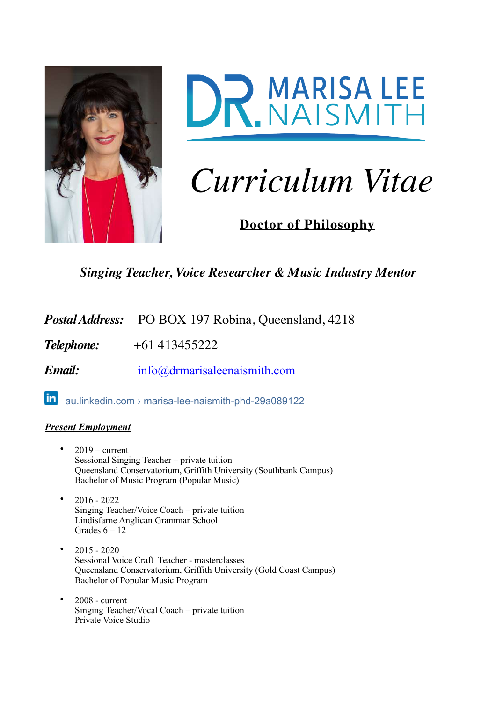



# *Curriculum Vitae*

**Doctor of Philosophy**

*Singing Teacher, Voice Researcher & Music Industry Mentor*

Postal Address: PO BOX 197 Robina, Queensland, 4218

*Telephone:* +61 413455222

*Email:* [info@drmarisaleenaismith.com](mailto:info@drmarisaleenaismith.com)

[au.linkedin.com › marisa-lee-naismith-phd-29a089122](https://www.google.com/url?sa=t&rct=j&q=&esrc=s&source=web&cd=2&ved=2ahUKEwiirsCzr8HnAhXZ4HMBHepkAvAQFjABegQIBxAB&url=https%25253A%25252F%25252Fau.linkedin.com%25252Fin%25252Fmarisa-lee-naismith-phd-29a089122&usg=AOvVaw006WcA9-P9S7yidUONvY6x)

## *Present Employment*

- $2019 current$ Sessional Singing Teacher – private tuition Queensland Conservatorium, Griffith University (Southbank Campus) Bachelor of Music Program (Popular Music)
- 2016 2022 Singing Teacher/Voice Coach – private tuition Lindisfarne Anglican Grammar School Grades  $6 - 12$
- $2015 2020$ Sessional Voice Craft Teacher - masterclasses Queensland Conservatorium, Griffith University (Gold Coast Campus) Bachelor of Popular Music Program
- 2008 current Singing Teacher/Vocal Coach – private tuition Private Voice Studio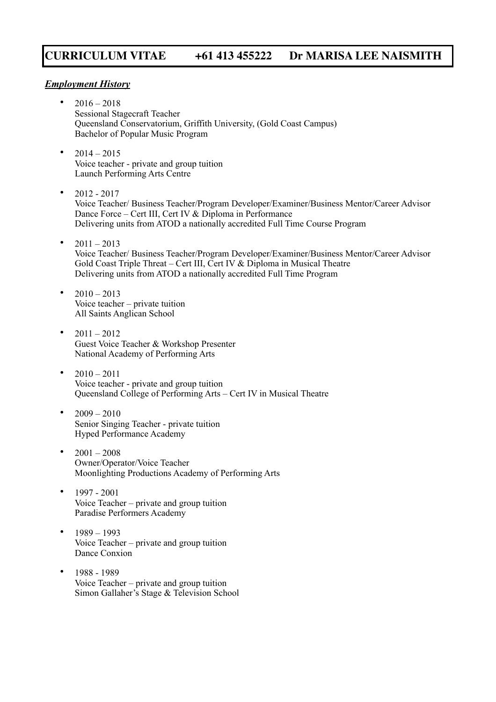#### *Employment History*

- $2016 2018$ Sessional Stagecraft Teacher Queensland Conservatorium, Griffith University, (Gold Coast Campus) Bachelor of Popular Music Program
- $2014 2015$ Voice teacher - private and group tuition Launch Performing Arts Centre
- $2012 2017$ Voice Teacher/ Business Teacher/Program Developer/Examiner/Business Mentor/Career Advisor Dance Force – Cert III, Cert IV & Diploma in Performance Delivering units from ATOD a nationally accredited Full Time Course Program
- $2011 2013$ Voice Teacher/ Business Teacher/Program Developer/Examiner/Business Mentor/Career Advisor Gold Coast Triple Threat – Cert III, Cert IV & Diploma in Musical Theatre Delivering units from ATOD a nationally accredited Full Time Program
- $2010 2013$ Voice teacher – private tuition All Saints Anglican School
- $2011 2012$ Guest Voice Teacher & Workshop Presenter National Academy of Performing Arts
- $2010 2011$ Voice teacher - private and group tuition Queensland College of Performing Arts – Cert IV in Musical Theatre
- $2009 2010$ Senior Singing Teacher - private tuition Hyped Performance Academy
- $2001 2008$ Owner/Operator/Voice Teacher Moonlighting Productions Academy of Performing Arts
- 1997 2001 Voice Teacher – private and group tuition Paradise Performers Academy
- 1989 1993 Voice Teacher – private and group tuition Dance Conxion
- 1988 1989 Voice Teacher – private and group tuition Simon Gallaher's Stage & Television School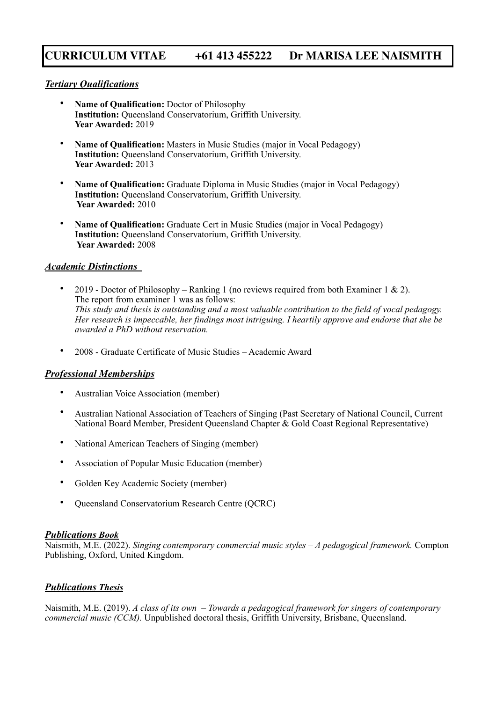#### *Tertiary Qualifications*

- **Name of Qualification:** Doctor of Philosophy **Institution:** Queensland Conservatorium, Griffith University. **Year Awarded:** 2019
- **Name of Qualification:** Masters in Music Studies (major in Vocal Pedagogy) **Institution:** Queensland Conservatorium, Griffith University. **Year Awarded:** 2013
- **Name of Qualification:** Graduate Diploma in Music Studies (major in Vocal Pedagogy) **Institution:** Queensland Conservatorium, Griffith University.  **Year Awarded:** 2010
- **Name of Qualification:** Graduate Cert in Music Studies (major in Vocal Pedagogy) **Institution:** Queensland Conservatorium, Griffith University.  **Year Awarded:** 2008

#### *Academic Distinctions*

- 2019 Doctor of Philosophy Ranking 1 (no reviews required from both Examiner 1 & 2). The report from examiner 1 was as follows: *This study and thesis is outstanding and a most valuable contribution to the field of vocal pedagogy. Her research is impeccable, her findings most intriguing. I heartily approve and endorse that she be awarded a PhD without reservation.*
- 2008 Graduate Certificate of Music Studies Academic Award

#### *Professional Memberships*

- Australian Voice Association (member)
- Australian National Association of Teachers of Singing (Past Secretary of National Council, Current National Board Member, President Queensland Chapter & Gold Coast Regional Representative)
- National American Teachers of Singing (member)
- Association of Popular Music Education (member)
- Golden Key Academic Society (member)
- Queensland Conservatorium Research Centre (QCRC)

#### *Publications Book*

Naismith, M.E. (2022). *Singing contemporary commercial music styles – A pedagogical framework.* Compton Publishing, Oxford, United Kingdom.

#### *Publications Thesis*

Naismith, M.E. (2019). *A class of its own – Towards a pedagogical framework for singers of contemporary commercial music (CCM).* Unpublished doctoral thesis, Griffith University, Brisbane, Queensland.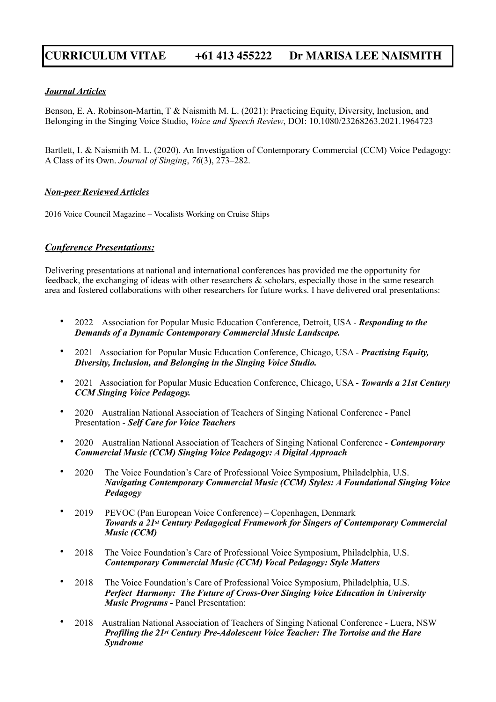#### *Journal Articles*

Benson, E. A. Robinson-Martin, T & Naismith M. L. (2021): Practicing Equity, Diversity, Inclusion, and Belonging in the Singing Voice Studio, *Voice and Speech Review*, DOI: 10.1080/23268263.2021.1964723

Bartlett, I. & Naismith M. L. (2020). An Investigation of Contemporary Commercial (CCM) Voice Pedagogy: A Class of its Own. *Journal of Singing*, *76*(3), 273–282.

#### *Non-peer Reviewed Articles*

2016 Voice Council Magazine – Vocalists Working on Cruise Ships

#### *Conference Presentations:*

Delivering presentations at national and international conferences has provided me the opportunity for feedback, the exchanging of ideas with other researchers & scholars, especially those in the same research area and fostered collaborations with other researchers for future works. I have delivered oral presentations:

- 2022 Association for Popular Music Education Conference, Detroit, USA *Responding to the Demands of a Dynamic Contemporary Commercial Music Landscape.*
- 2021 Association for Popular Music Education Conference, Chicago, USA *Practising Equity, Diversity, Inclusion, and Belonging in the Singing Voice Studio.*
- 2021 Association for Popular Music Education Conference, Chicago, USA *Towards a 21st Century CCM Singing Voice Pedagogy.*
- 2020 Australian National Association of Teachers of Singing National Conference Panel Presentation - *Self Care for Voice Teachers*
- 2020 Australian National Association of Teachers of Singing National Conference - *Contemporary Commercial Music (CCM) Singing Voice Pedagogy: A Digital Approach*
- 2020 The Voice Foundation's Care of Professional Voice Symposium, Philadelphia, U.S. *Navigating Contemporary Commercial Music (CCM) Styles: A Foundational Singing Voice Pedagogy*
- 2019 PEVOC (Pan European Voice Conference) Copenhagen, Denmark *Towards a 21st Century Pedagogical Framework for Singers of Contemporary Commercial Music (CCM)*
- 2018 The Voice Foundation's Care of Professional Voice Symposium, Philadelphia, U.S. *Contemporary Commercial Music (CCM) Vocal Pedagogy: Style Matters*
- 2018 The Voice Foundation's Care of Professional Voice Symposium, Philadelphia, U.S. *Perfect Harmony: The Future of Cross-Over Singing Voice Education in University Music Programs -* Panel Presentation:
- 2018 Australian National Association of Teachers of Singing National Conference Luera, NSW *Profiling the 21st Century Pre-Adolescent Voice Teacher: The Tortoise and the Hare Syndrome*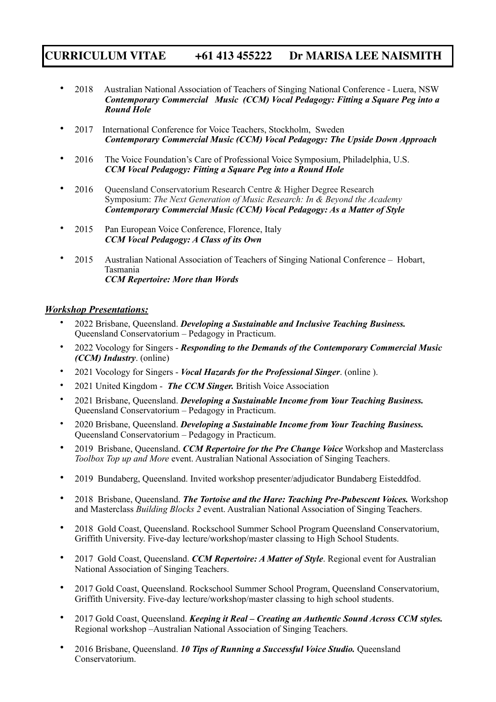- 2018 Australian National Association of Teachers of Singing National Conference Luera, NSW *Contemporary Commercial Music (CCM) Vocal Pedagogy: Fitting a Square Peg into a Round Hole*
- 2017 International Conference for Voice Teachers, Stockholm, Sweden *Contemporary Commercial Music (CCM) Vocal Pedagogy: The Upside Down Approach*
- 2016 The Voice Foundation's Care of Professional Voice Symposium, Philadelphia, U.S. *CCM Vocal Pedagogy: Fitting a Square Peg into a Round Hole*
- 2016 Oueensland Conservatorium Research Centre & Higher Degree Research Symposium: *The Next Generation of Music Research: In & Beyond the Academy Contemporary Commercial Music (CCM) Vocal Pedagogy: As a Matter of Style*
- 2015 Pan European Voice Conference, Florence, Italy *CCM Vocal Pedagogy: A Class of its Own*
- 2015 Australian National Association of Teachers of Singing National Conference Hobart, Tasmania *CCM Repertoire: More than Words*

#### *Workshop Presentations:*

- 2022 Brisbane, Queensland. *Developing a Sustainable and Inclusive Teaching Business.*  Queensland Conservatorium – Pedagogy in Practicum.
- 2022 Vocology for Singers *Responding to the Demands of the Contemporary Commercial Music (CCM) Industry*. (online)
- 2021 Vocology for Singers *Vocal Hazards for the Professional Singer*. (online ).
- 2021 United Kingdom *The CCM Singer.* British Voice Association
- 2021 Brisbane, Queensland. *Developing a Sustainable Income from Your Teaching Business.*  Queensland Conservatorium – Pedagogy in Practicum.
- 2020 Brisbane, Queensland. *Developing a Sustainable Income from Your Teaching Business.*  Queensland Conservatorium – Pedagogy in Practicum.
- 2019 Brisbane, Queensland. *CCM Repertoire for the Pre Change Voice* Workshop and Masterclass *Toolbox Top up and More* event. Australian National Association of Singing Teachers.
- 2019 Bundaberg, Queensland. Invited workshop presenter/adjudicator Bundaberg Eisteddfod.
- 2018 Brisbane, Queensland. *The Tortoise and the Hare: Teaching Pre-Pubescent Voices.* Workshop and Masterclass *Building Blocks 2* event. Australian National Association of Singing Teachers.
- 2018 Gold Coast, Queensland. Rockschool Summer School Program Queensland Conservatorium, Griffith University. Five-day lecture/workshop/master classing to High School Students.
- 2017 Gold Coast, Queensland. *CCM Repertoire: A Matter of Style*. Regional event for Australian National Association of Singing Teachers.
- 2017 Gold Coast, Queensland. Rockschool Summer School Program, Queensland Conservatorium, Griffith University. Five-day lecture/workshop/master classing to high school students.
- 2017 Gold Coast, Queensland. *Keeping it Real Creating an Authentic Sound Across CCM styles.*  Regional workshop –Australian National Association of Singing Teachers.
- 2016 Brisbane, Queensland. *10 Tips of Running a Successful Voice Studio.* Queensland Conservatorium.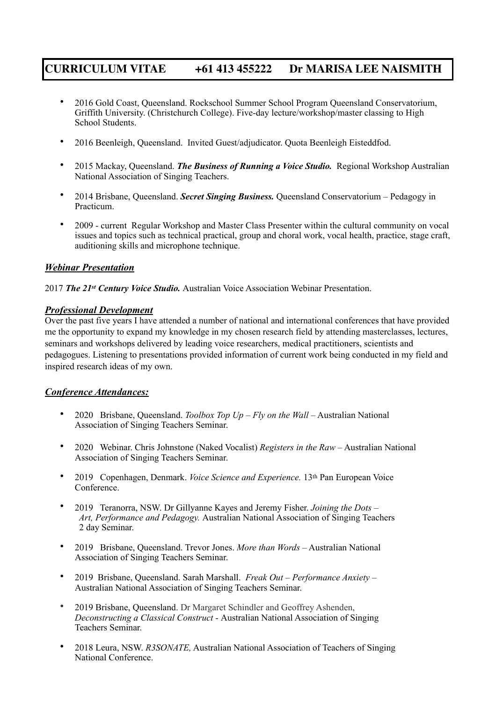- 2016 Gold Coast, Queensland. Rockschool Summer School Program Queensland Conservatorium, Griffith University. (Christchurch College). Five-day lecture/workshop/master classing to High School Students.
- 2016 Beenleigh, Queensland. Invited Guest/adjudicator. Quota Beenleigh Eisteddfod.
- 2015 Mackay, Queensland. *The Business of Running a Voice Studio.* Regional Workshop Australian National Association of Singing Teachers.
- 2014 Brisbane, Queensland. *Secret Singing Business.* Queensland Conservatorium Pedagogy in Practicum.
- 2009 current Regular Workshop and Master Class Presenter within the cultural community on vocal issues and topics such as technical practical, group and choral work, vocal health, practice, stage craft, auditioning skills and microphone technique.

#### *Webinar Presentation*

2017 *The 21st Century Voice Studio.* Australian Voice Association Webinar Presentation.

#### *Professional Development*

Over the past five years I have attended a number of national and international conferences that have provided me the opportunity to expand my knowledge in my chosen research field by attending masterclasses, lectures, seminars and workshops delivered by leading voice researchers, medical practitioners, scientists and pedagogues. Listening to presentations provided information of current work being conducted in my field and inspired research ideas of my own.

#### *Conference Attendances:*

- 2020 Brisbane, Queensland. *Toolbox Top Up Fly on the Wall*  Australian National Association of Singing Teachers Seminar.
- 2020 Webinar. Chris Johnstone (Naked Vocalist) *Registers in the Raw*  Australian National Association of Singing Teachers Seminar.
- 2019 Copenhagen, Denmark. *Voice Science and Experience*. 13<sup>th</sup> Pan European Voice Conference.
- 2019 Teranorra, NSW. Dr Gillyanne Kayes and Jeremy Fisher. *Joining the Dots Art, Performance and Pedagogy.* Australian National Association of Singing Teachers 2 day Seminar.
- 2019 Brisbane, Queensland. Trevor Jones. *More than Words* Australian National Association of Singing Teachers Seminar.
- 2019 Brisbane, Queensland. Sarah Marshall. *Freak Out Performance Anxiety –* Australian National Association of Singing Teachers Seminar.
- 2019 Brisbane, Queensland. Dr Margaret Schindler and Geoffrey Ashenden, *Deconstructing a Classical Construct -* Australian National Association of Singing Teachers Seminar.
- 2018 Leura, NSW. *R3SONATE,* Australian National Association of Teachers of Singing National Conference.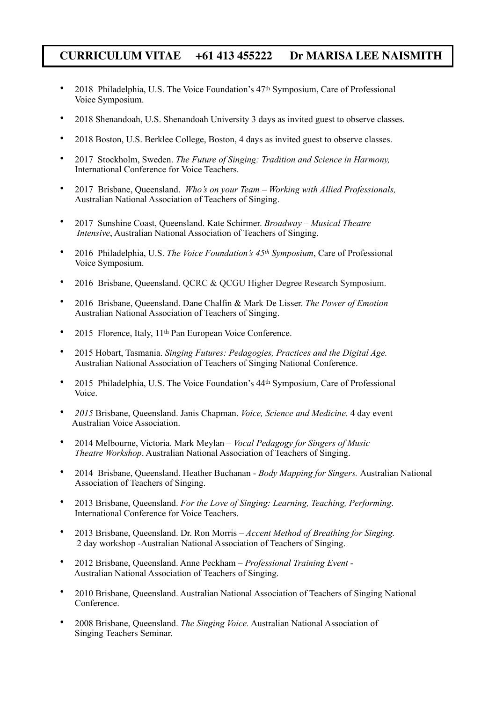- 2018 Philadelphia, U.S. The Voice Foundation's  $47<sup>th</sup>$  Symposium, Care of Professional Voice Symposium.
- 2018 Shenandoah, U.S. Shenandoah University 3 days as invited guest to observe classes.
- 2018 Boston, U.S. Berklee College, Boston, 4 days as invited guest to observe classes.
- 2017 Stockholm, Sweden. *The Future of Singing: Tradition and Science in Harmony,* International Conference for Voice Teachers.
- 2017 Brisbane, Queensland. *Who's on your Team Working with Allied Professionals,* Australian National Association of Teachers of Singing.
- 2017 Sunshine Coast, Queensland. Kate Schirmer. *Broadway Musical Theatre Intensive*, Australian National Association of Teachers of Singing.
- 2016 Philadelphia, U.S. *The Voice Foundation's 45th Symposium*, Care of Professional Voice Symposium.
- 2016 Brisbane, Queensland. QCRC & QCGU Higher Degree Research Symposium.
- 2016 Brisbane, Queensland. Dane Chalfin & Mark De Lisser. *The Power of Emotion* Australian National Association of Teachers of Singing.
- 2015 Florence, Italy, 11<sup>th</sup> Pan European Voice Conference.
- 2015 Hobart, Tasmania. *Singing Futures: Pedagogies, Practices and the Digital Age.* Australian National Association of Teachers of Singing National Conference.
- 2015 Philadelphia, U.S. The Voice Foundation's 44th Symposium, Care of Professional Voice.
- *2015* Brisbane, Queensland. Janis Chapman. *Voice, Science and Medicine.* 4 day event Australian Voice Association.
- 2014 Melbourne, Victoria. Mark Meylan *Vocal Pedagogy for Singers of Music Theatre Workshop*. Australian National Association of Teachers of Singing.
- 2014 Brisbane, Queensland. Heather Buchanan *Body Mapping for Singers.* Australian National Association of Teachers of Singing.
- 2013 Brisbane, Queensland. *For the Love of Singing: Learning, Teaching, Performing*. International Conference for Voice Teachers.
- 2013 Brisbane, Queensland. Dr. Ron Morris *Accent Method of Breathing for Singing.* 2 day workshop -Australian National Association of Teachers of Singing.
- 2012 Brisbane, Queensland. Anne Peckham *Professional Training Event -* Australian National Association of Teachers of Singing.
- 2010 Brisbane, Queensland. Australian National Association of Teachers of Singing National Conference.
- 2008 Brisbane, Queensland. *The Singing Voice.* Australian National Association of Singing Teachers Seminar.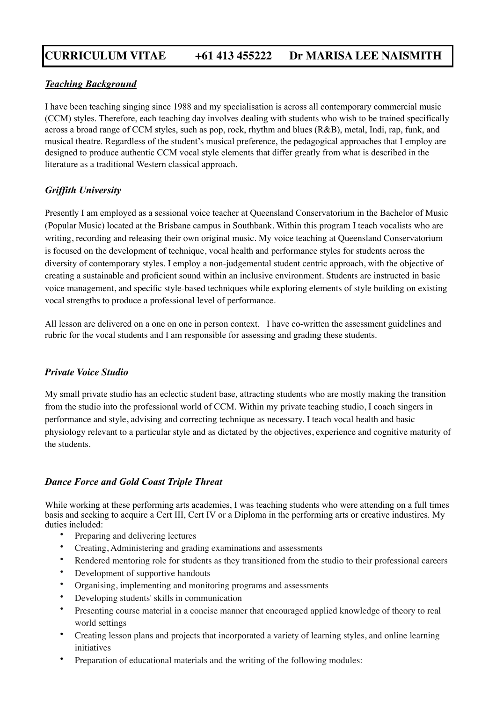#### *Teaching Background*

I have been teaching singing since 1988 and my specialisation is across all contemporary commercial music (CCM) styles. Therefore, each teaching day involves dealing with students who wish to be trained specifically across a broad range of CCM styles, such as pop, rock, rhythm and blues (R&B), metal, Indi, rap, funk, and musical theatre. Regardless of the student's musical preference, the pedagogical approaches that I employ are designed to produce authentic CCM vocal style elements that differ greatly from what is described in the literature as a traditional Western classical approach.

### *Griffith University*

Presently I am employed as a sessional voice teacher at Queensland Conservatorium in the Bachelor of Music (Popular Music) located at the Brisbane campus in Southbank. Within this program I teach vocalists who are writing, recording and releasing their own original music. My voice teaching at Queensland Conservatorium is focused on the development of technique, vocal health and performance styles for students across the diversity of contemporary styles. I employ a non-judgemental student centric approach, with the objective of creating a sustainable and proficient sound within an inclusive environment. Students are instructed in basic voice management, and specific style-based techniques while exploring elements of style building on existing vocal strengths to produce a professional level of performance.

All lesson are delivered on a one on one in person context. I have co-written the assessment guidelines and rubric for the vocal students and I am responsible for assessing and grading these students.

#### *Private Voice Studio*

My small private studio has an eclectic student base, attracting students who are mostly making the transition from the studio into the professional world of CCM. Within my private teaching studio, I coach singers in performance and style, advising and correcting technique as necessary. I teach vocal health and basic physiology relevant to a particular style and as dictated by the objectives, experience and cognitive maturity of the students.

#### *Dance Force and Gold Coast Triple Threat*

While working at these performing arts academies, I was teaching students who were attending on a full times basis and seeking to acquire a Cert III, Cert IV or a Diploma in the performing arts or creative industires. My duties included:

- Preparing and delivering lectures
- Creating, Administering and grading examinations and assessments
- Rendered mentoring role for students as they transitioned from the studio to their professional careers
- Development of supportive handouts
- Organising, implementing and monitoring programs and assessments
- Developing students' skills in communication
- Presenting course material in a concise manner that encouraged applied knowledge of theory to real world settings
- Creating lesson plans and projects that incorporated a variety of learning styles, and online learning initiatives
- Preparation of educational materials and the writing of the following modules: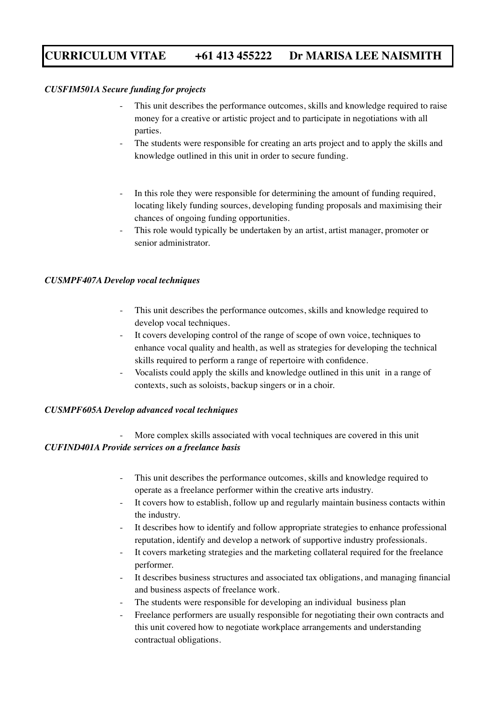#### *CUSFIM501A Secure funding for projects*

- This unit describes the performance outcomes, skills and knowledge required to raise money for a creative or artistic project and to participate in negotiations with all parties.
- The students were responsible for creating an arts project and to apply the skills and knowledge outlined in this unit in order to secure funding.
- In this role they were responsible for determining the amount of funding required, locating likely funding sources, developing funding proposals and maximising their chances of ongoing funding opportunities.
- This role would typically be undertaken by an artist, artist manager, promoter or senior administrator.

#### *CUSMPF407A Develop vocal techniques*

- This unit describes the performance outcomes, skills and knowledge required to develop vocal techniques.
- It covers developing control of the range of scope of own voice, techniques to enhance vocal quality and health, as well as strategies for developing the technical skills required to perform a range of repertoire with confidence.
- Vocalists could apply the skills and knowledge outlined in this unit in a range of contexts, such as soloists, backup singers or in a choir.

#### *CUSMPF605A Develop advanced vocal techniques*

### More complex skills associated with vocal techniques are covered in this unit *CUFIND401A Provide services on a freelance basis*

- This unit describes the performance outcomes, skills and knowledge required to operate as a freelance performer within the creative arts industry.
- It covers how to establish, follow up and regularly maintain business contacts within the industry.
- It describes how to identify and follow appropriate strategies to enhance professional reputation, identify and develop a network of supportive industry professionals.
- It covers marketing strategies and the marketing collateral required for the freelance performer.
- It describes business structures and associated tax obligations, and managing financial and business aspects of freelance work.
- The students were responsible for developing an individual business plan
- Freelance performers are usually responsible for negotiating their own contracts and this unit covered how to negotiate workplace arrangements and understanding contractual obligations.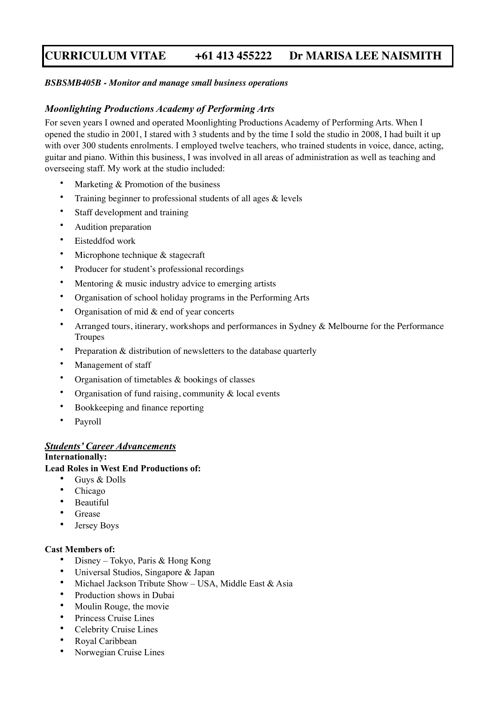#### *BSBSMB405B - Monitor and manage small business operations*

#### *Moonlighting Productions Academy of Performing Arts*

For seven years I owned and operated Moonlighting Productions Academy of Performing Arts. When I opened the studio in 2001, I stared with 3 students and by the time I sold the studio in 2008, I had built it up with over 300 students enrolments. I employed twelve teachers, who trained students in voice, dance, acting, guitar and piano. Within this business, I was involved in all areas of administration as well as teaching and overseeing staff. My work at the studio included:

- Marketing  $&$  Promotion of the business
- Training beginner to professional students of all ages & levels
- Staff development and training
- Audition preparation
- Eisteddfod work
- Microphone technique & stagecraft
- Producer for student's professional recordings
- Mentoring & music industry advice to emerging artists
- Organisation of school holiday programs in the Performing Arts
- Organisation of mid  $&$  end of year concerts
- Arranged tours, itinerary, workshops and performances in Sydney & Melbourne for the Performance Troupes
- Preparation & distribution of newsletters to the database quarterly
- Management of staff
- Organisation of timetables  $\&$  bookings of classes
- Organisation of fund raising, community  $\&$  local events
- Bookkeeping and finance reporting
- Payroll

#### *Students' Career Advancements*

#### **Internationally:**

#### **Lead Roles in West End Productions of:**

- Guys & Dolls
- Chicago
- **Beautiful**
- **Grease**
- Jersey Boys

#### **Cast Members of:**

- Disney Tokyo, Paris & Hong Kong
- Universal Studios, Singapore & Japan
- Michael Jackson Tribute Show USA, Middle East & Asia
- Production shows in Dubai
- Moulin Rouge, the movie
- Princess Cruise Lines
- Celebrity Cruise Lines
- Royal Caribbean
- Norwegian Cruise Lines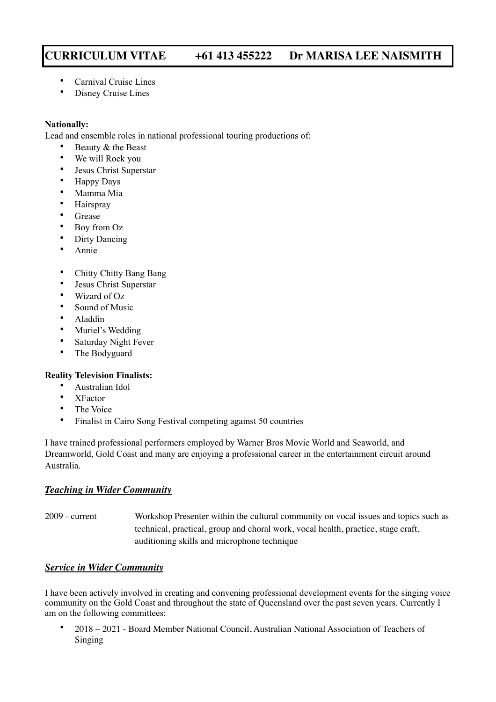- Carnival Cruise Lines
- Disney Cruise Lines

#### **Nationally:**

Lead and ensemble roles in national professional touring productions of:

- Beauty & the Beast
- We will Rock you
- Jesus Christ Superstar
- Happy Days
- Mamma Mia
- Hairspray
- Grease
- Boy from Oz
- Dirty Dancing
- Annie
- Chitty Chitty Bang Bang
- Jesus Christ Superstar
- Wizard of Oz
- Sound of Music
- Aladdin
- Muriel's Wedding
- Saturday Night Fever
- The Bodyguard

#### **Reality Television Finalists:**

- Australian Idol
- XFactor
- The Voice
- Finalist in Cairo Song Festival competing against 50 countries

I have trained professional performers employed by Warner Bros Movie World and Seaworld, and Dreamworld, Gold Coast and many are enjoying a professional career in the entertainment circuit around Australia.

### *Teaching in Wider Community*

2009 - current Workshop Presenter within the cultural community on vocal issues and topics such as technical, practical, group and choral work, vocal health, practice, stage craft, auditioning skills and microphone technique

### *Service in Wider Community*

I have been actively involved in creating and convening professional development events for the singing voice community on the Gold Coast and throughout the state of Queensland over the past seven years. Currently I am on the following committees:

• 2018 – 2021 - Board Member National Council, Australian National Association of Teachers of Singing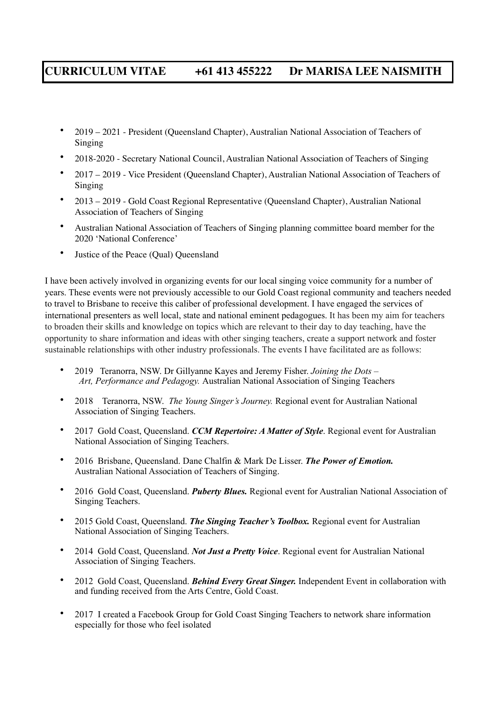- 2019 2021 President (Queensland Chapter), Australian National Association of Teachers of Singing
- 2018-2020 Secretary National Council, Australian National Association of Teachers of Singing
- 2017 2019 Vice President (Queensland Chapter), Australian National Association of Teachers of Singing
- 2013 2019 Gold Coast Regional Representative (Queensland Chapter), Australian National Association of Teachers of Singing
- Australian National Association of Teachers of Singing planning committee board member for the 2020 'National Conference'
- Justice of the Peace (Qual) Queensland

I have been actively involved in organizing events for our local singing voice community for a number of years. These events were not previously accessible to our Gold Coast regional community and teachers needed to travel to Brisbane to receive this caliber of professional development. I have engaged the services of international presenters as well local, state and national eminent pedagogues. It has been my aim for teachers to broaden their skills and knowledge on topics which are relevant to their day to day teaching, have the opportunity to share information and ideas with other singing teachers, create a support network and foster sustainable relationships with other industry professionals. The events I have facilitated are as follows:

- 2019 Teranorra, NSW. Dr Gillyanne Kayes and Jeremy Fisher. *Joining the Dots Art, Performance and Pedagogy.* Australian National Association of Singing Teachers
- 2018 Teranorra, NSW. *The Young Singer's Journey.* Regional event for Australian National Association of Singing Teachers.
- 2017 Gold Coast, Queensland. *CCM Repertoire: A Matter of Style*. Regional event for Australian National Association of Singing Teachers.
- 2016 Brisbane, Queensland. Dane Chalfin & Mark De Lisser. *The Power of Emotion.* Australian National Association of Teachers of Singing.
- 2016 Gold Coast, Queensland. *Puberty Blues.* Regional event for Australian National Association of Singing Teachers.
- 2015 Gold Coast, Queensland. *The Singing Teacher's Toolbox.* Regional event for Australian National Association of Singing Teachers.
- 2014 Gold Coast, Queensland. *Not Just a Pretty Voice*. Regional event for Australian National Association of Singing Teachers.
- 2012 Gold Coast, Queensland. *Behind Every Great Singer.* Independent Event in collaboration with and funding received from the Arts Centre, Gold Coast.
- 2017 I created a Facebook Group for Gold Coast Singing Teachers to network share information especially for those who feel isolated